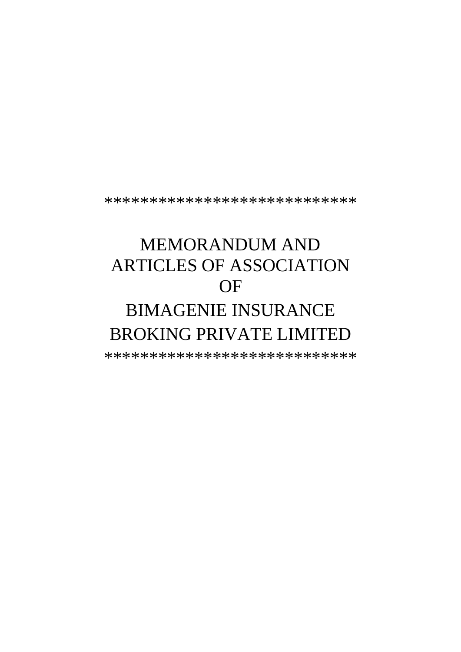\*\*\*\*\*\*\*\*\*\*\*\*\*\*\*\*\*\*\*\*\*\*\*\*\*\*\*\*

# **MEMORANDUM AND ARTICLES OF ASSOCIATION** OF **BIMAGENIE INSURANCE**

# **BROKING PRIVATE LIMITED**

\*\*\*\*\*\*\*\*\*\*\*\*\*\*\*\*\*\*\*\*\*\*\*\*\*\*\*\*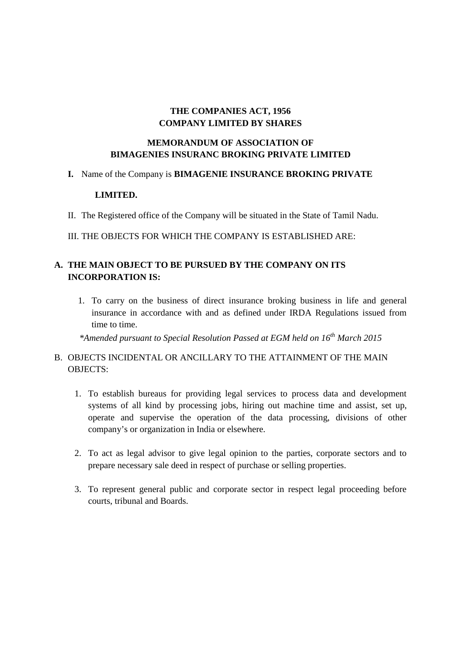# **THE COMPANIES ACT, 1956 COMPANY LIMITED BY SHARES**

### **MEMORANDUM OF ASSOCIATION OF BIMAGENIES INSURANC BROKING PRIVATE LIMITED**

#### **I.** Name of the Company is **BIMAGENIE INSURANCE BROKING PRIVATE**

#### **LIMITED.**

II. The Registered office of the Company will be situated in the State of Tamil Nadu.

#### III. THE OBJECTS FOR WHICH THE COMPANY IS ESTABLISHED ARE:

# **A. THE MAIN OBJECT TO BE PURSUED BY THE COMPANY ON ITS INCORPORATION IS:**

1. To carry on the business of direct insurance broking business in life and general insurance in accordance with and as defined under IRDA Regulations issued from time to time.

*\*Amended pursuant to Special Resolution Passed at EGM held on 16th March 2015*

# B. OBJECTS INCIDENTAL OR ANCILLARY TO THE ATTAINMENT OF THE MAIN OBJECTS:

- 1. To establish bureaus for providing legal services to process data and development systems of all kind by processing jobs, hiring out machine time and assist, set up, operate and supervise the operation of the data processing, divisions of other company's or organization in India or elsewhere.
- 2. To act as legal advisor to give legal opinion to the parties, corporate sectors and to prepare necessary sale deed in respect of purchase or selling properties.
- 3. To represent general public and corporate sector in respect legal proceeding before courts, tribunal and Boards.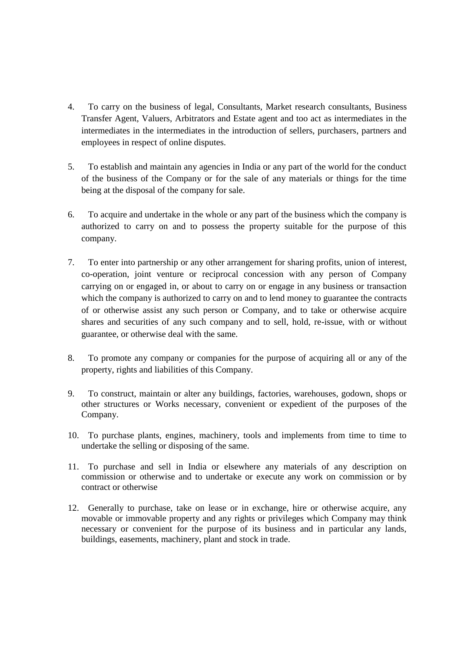- 4. To carry on the business of legal, Consultants, Market research consultants, Business Transfer Agent, Valuers, Arbitrators and Estate agent and too act as intermediates in the intermediates in the intermediates in the introduction of sellers, purchasers, partners and employees in respect of online disputes.
- 5. To establish and maintain any agencies in India or any part of the world for the conduct of the business of the Company or for the sale of any materials or things for the time being at the disposal of the company for sale.
- 6. To acquire and undertake in the whole or any part of the business which the company is authorized to carry on and to possess the property suitable for the purpose of this company.
- 7. To enter into partnership or any other arrangement for sharing profits, union of interest, co-operation, joint venture or reciprocal concession with any person of Company carrying on or engaged in, or about to carry on or engage in any business or transaction which the company is authorized to carry on and to lend money to guarantee the contracts of or otherwise assist any such person or Company, and to take or otherwise acquire shares and securities of any such company and to sell, hold, re-issue, with or without guarantee, or otherwise deal with the same.
- 8. To promote any company or companies for the purpose of acquiring all or any of the property, rights and liabilities of this Company.
- 9. To construct, maintain or alter any buildings, factories, warehouses, godown, shops or other structures or Works necessary, convenient or expedient of the purposes of the Company.
- 10. To purchase plants, engines, machinery, tools and implements from time to time to undertake the selling or disposing of the same.
- 11. To purchase and sell in India or elsewhere any materials of any description on commission or otherwise and to undertake or execute any work on commission or by contract or otherwise
- 12. Generally to purchase, take on lease or in exchange, hire or otherwise acquire, any movable or immovable property and any rights or privileges which Company may think necessary or convenient for the purpose of its business and in particular any lands, buildings, easements, machinery, plant and stock in trade.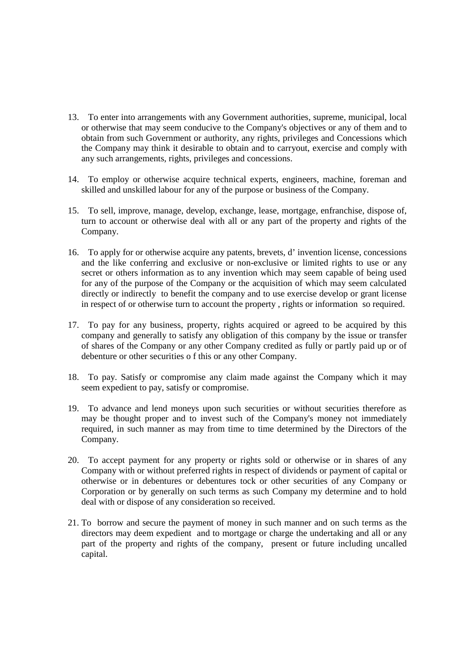- 13. To enter into arrangements with any Government authorities, supreme, municipal, local or otherwise that may seem conducive to the Company's objectives or any of them and to obtain from such Government or authority, any rights, privileges and Concessions which the Company may think it desirable to obtain and to carryout, exercise and comply with any such arrangements, rights, privileges and concessions.
- 14. To employ or otherwise acquire technical experts, engineers, machine, foreman and skilled and unskilled labour for any of the purpose or business of the Company.
- 15. To sell, improve, manage, develop, exchange, lease, mortgage, enfranchise, dispose of, turn to account or otherwise deal with all or any part of the property and rights of the Company.
- 16. To apply for or otherwise acquire any patents, brevets, d' invention license, concessions and the like conferring and exclusive or non-exclusive or limited rights to use or any secret or others information as to any invention which may seem capable of being used for any of the purpose of the Company or the acquisition of which may seem calculated directly or indirectly to benefit the company and to use exercise develop or grant license in respect of or otherwise turn to account the property , rights or information so required.
- 17. To pay for any business, property, rights acquired or agreed to be acquired by this company and generally to satisfy any obligation of this company by the issue or transfer of shares of the Company or any other Company credited as fully or partly paid up or of debenture or other securities o f this or any other Company.
- 18. To pay. Satisfy or compromise any claim made against the Company which it may seem expedient to pay, satisfy or compromise.
- 19. To advance and lend moneys upon such securities or without securities therefore as may be thought proper and to invest such of the Company's money not immediately required, in such manner as may from time to time determined by the Directors of the Company.
- 20. To accept payment for any property or rights sold or otherwise or in shares of any Company with or without preferred rights in respect of dividends or payment of capital or otherwise or in debentures or debentures tock or other securities of any Company or Corporation or by generally on such terms as such Company my determine and to hold deal with or dispose of any consideration so received.
- 21. To borrow and secure the payment of money in such manner and on such terms as the directors may deem expedient and to mortgage or charge the undertaking and all or any part of the property and rights of the company, present or future including uncalled capital.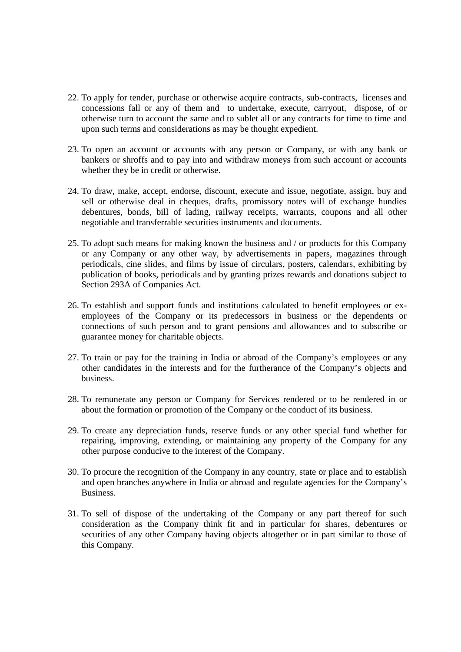- 22. To apply for tender, purchase or otherwise acquire contracts, sub-contracts, licenses and concessions fall or any of them and to undertake, execute, carryout, dispose, of or otherwise turn to account the same and to sublet all or any contracts for time to time and upon such terms and considerations as may be thought expedient.
- 23. To open an account or accounts with any person or Company, or with any bank or bankers or shroffs and to pay into and withdraw moneys from such account or accounts whether they be in credit or otherwise.
- 24. To draw, make, accept, endorse, discount, execute and issue, negotiate, assign, buy and sell or otherwise deal in cheques, drafts, promissory notes will of exchange hundies debentures, bonds, bill of lading, railway receipts, warrants, coupons and all other negotiable and transferrable securities instruments and documents.
- 25. To adopt such means for making known the business and / or products for this Company or any Company or any other way, by advertisements in papers, magazines through periodicals, cine slides, and films by issue of circulars, posters, calendars, exhibiting by publication of books, periodicals and by granting prizes rewards and donations subject to Section 293A of Companies Act.
- 26. To establish and support funds and institutions calculated to benefit employees or ex employees of the Company or its predecessors in business or the dependents or connections of such person and to grant pensions and allowances and to subscribe or guarantee money for charitable objects.
- 27. To train or pay for the training in India or abroad of the Company's employees or any other candidates in the interests and for the furtherance of the Company's objects and business.
- 28. To remunerate any person or Company for Services rendered or to be rendered in or about the formation or promotion of the Company or the conduct of its business.
- 29. To create any depreciation funds, reserve funds or any other special fund whether for repairing, improving, extending, or maintaining any property of the Company for any other purpose conducive to the interest of the Company.
- 30. To procure the recognition of the Company in any country, state or place and to establish and open branches anywhere in India or abroad and regulate agencies for the Company's Business.
- 31. To sell of dispose of the undertaking of the Company or any part thereof for such consideration as the Company think fit and in particular for shares, debentures or securities of any other Company having objects altogether or in part similar to those of this Company.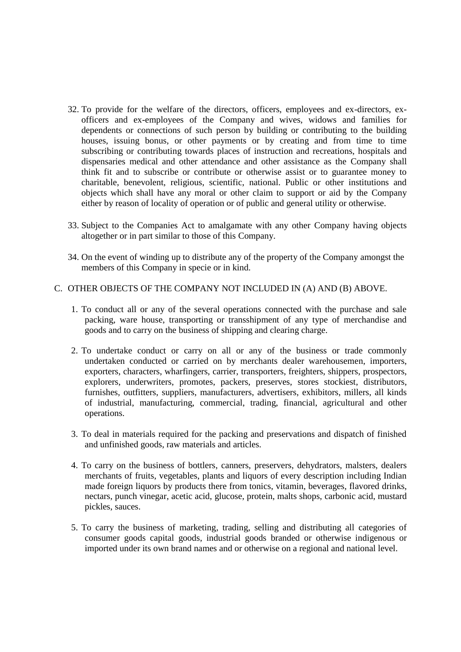- 32. To provide for the welfare of the directors, officers, employees and ex-directors, ex officers and ex-employees of the Company and wives, widows and families for dependents or connections of such person by building or contributing to the building houses, issuing bonus, or other payments or by creating and from time to time subscribing or contributing towards places of instruction and recreations, hospitals and dispensaries medical and other attendance and other assistance as the Company shall think fit and to subscribe or contribute or otherwise assist or to guarantee money to charitable, benevolent, religious, scientific, national. Public or other institutions and objects which shall have any moral or other claim to support or aid by the Company either by reason of locality of operation or of public and general utility or otherwise.
- 33. Subject to the Companies Act to amalgamate with any other Company having objects altogether or in part similar to those of this Company.
- 34. On the event of winding up to distribute any of the property of the Company amongst the members of this Company in specie or in kind.

#### C. OTHER OBJECTS OF THE COMPANY NOT INCLUDED IN (A) AND (B) ABOVE.

- 1. To conduct all or any of the several operations connected with the purchase and sale packing, ware house, transporting or transshipment of any type of merchandise and goods and to carry on the business of shipping and clearing charge.
- 2. To undertake conduct or carry on all or any of the business or trade commonly undertaken conducted or carried on by merchants dealer warehousemen, importers, exporters, characters, wharfingers, carrier, transporters, freighters, shippers, prospectors, explorers, underwriters, promotes, packers, preserves, stores stockiest, distributors, furnishes, outfitters, suppliers, manufacturers, advertisers, exhibitors, millers, all kinds of industrial, manufacturing, commercial, trading, financial, agricultural and other operations.
- 3. To deal in materials required for the packing and preservations and dispatch of finished and unfinished goods, raw materials and articles.
- 4. To carry on the business of bottlers, canners, preservers, dehydrators, malsters, dealers merchants of fruits, vegetables, plants and liquors of every description including Indian made foreign liquors by products there from tonics, vitamin, beverages, flavored drinks, nectars, punch vinegar, acetic acid, glucose, protein, malts shops, carbonic acid, mustard pickles, sauces.
- 5. To carry the business of marketing, trading, selling and distributing all categories of consumer goods capital goods, industrial goods branded or otherwise indigenous or imported under its own brand names and or otherwise on a regional and national level.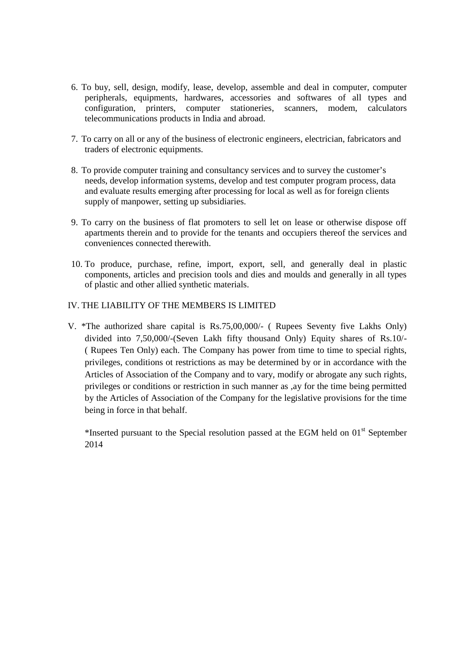- 6. To buy, sell, design, modify, lease, develop, assemble and deal in computer, computer peripherals, equipments, hardwares, accessories and softwares of all types and configuration, printers, computer stationeries, scanners, modem, calculators telecommunications products in India and abroad.
- 7. To carry on all or any of the business of electronic engineers, electrician, fabricators and traders of electronic equipments.
- 8. To provide computer training and consultancy services and to survey the customer's needs, develop information systems, develop and test computer program process, data and evaluate results emerging after processing for local as well as for foreign clients supply of manpower, setting up subsidiaries.
- 9. To carry on the business of flat promoters to sell let on lease or otherwise dispose off apartments therein and to provide for the tenants and occupiers thereof the services and conveniences connected therewith.
- 10. To produce, purchase, refine, import, export, sell, and generally deal in plastic components, articles and precision tools and dies and moulds and generally in all types of plastic and other allied synthetic materials.

#### IV. THE LIABILITY OF THE MEMBERS IS LIMITED

V. \*The authorized share capital is Rs.75,00,000/- ( Rupees Seventy five Lakhs Only) divided into 7,50,000/-(Seven Lakh fifty thousand Only) Equity shares of Rs.10/- ( Rupees Ten Only) each. The Company has power from time to time to special rights, privileges, conditions ot restrictions as may be determined by or in accordance with the Articles of Association of the Company and to vary, modify or abrogate any such rights, privileges or conditions or restriction in such manner as ,ay for the time being permitted by the Articles of Association of the Company for the legislative provisions for the time being in force in that behalf.

\*Inserted pursuant to the Special resolution passed at the EGM held on 01st September 2014